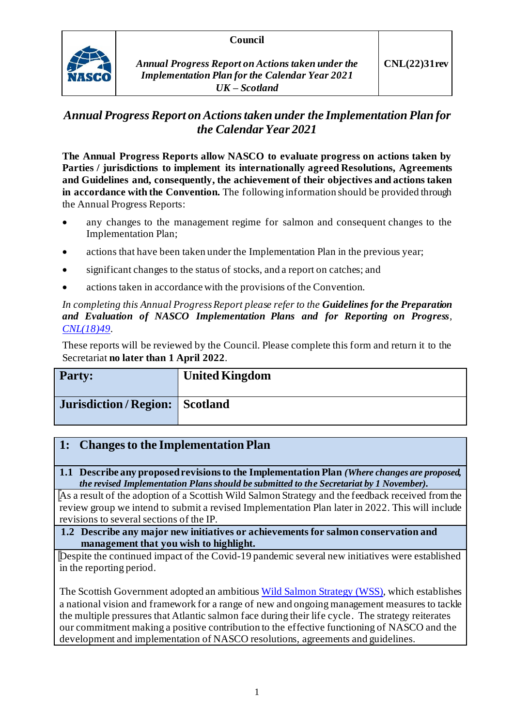#### **Council**



# *Annual Progress Report on Actions taken under the Implementation Plan for the Calendar Year 2021*

**The Annual Progress Reports allow NASCO to evaluate progress on actions taken by Parties / jurisdictions to implement its internationally agreed Resolutions, Agreements and Guidelines and, consequently, the achievement of their objectives and actions taken in accordance with the Convention.** The following information should be provided through the Annual Progress Reports:

- any changes to the management regime for salmon and consequent changes to the Implementation Plan;
- actions that have been taken under the Implementation Plan in the previous year;
- significant changes to the status of stocks, and a report on catches; and
- actions taken in accordance with the provisions of the Convention.

*In completing this Annual Progress Report please refer to the Guidelines for the Preparation and Evaluation of NASCO Implementation Plans and for Reporting on Progress, [CNL\(18\)49.](https://nasco.int/wp-content/uploads/2020/02/CNL1849_Guidelines-for-the-Preparation-and-Evaluation-of-NASCO-Implementation-Plans-and-for-Reporting-on-Progress.pdf)*

These reports will be reviewed by the Council. Please complete this form and return it to the Secretariat **no later than 1 April 2022**.

| <b>Party:</b>                        | <b>United Kingdom</b> |
|--------------------------------------|-----------------------|
| <b>Jurisdiction/Region: Scotland</b> |                       |

## **1: Changes to the Implementation Plan**

**1.1 Describe any proposed revisions to the Implementation Plan** *(Where changes are proposed, the revised Implementation Plans should be submitted to the Secretariat by 1 November).*

As a result of the adoption of a Scottish Wild Salmon Strategy and the feedback received from the review group we intend to submit a revised Implementation Plan later in 2022. This will include revisions to several sections of the IP.

**1.2 Describe any major new initiatives or achievements for salmon conservation and management that you wish to highlight.**

Despite the continued impact of the Covid-19 pandemic several new initiatives were established in the reporting period.

The Scottish Government adopted an ambitiou[s Wild Salmon Strategy](https://www.gov.scot/publications/scottish-wild-salmon-strategy/) (WSS), which establishes a national vision and framework for a range of new and ongoing management measures to tackle the multiple pressures that Atlantic salmon face during their life cycle. The strategy reiterates our commitment making a positive contribution to the effective functioning of NASCO and the development and implementation of NASCO resolutions, agreements and guidelines.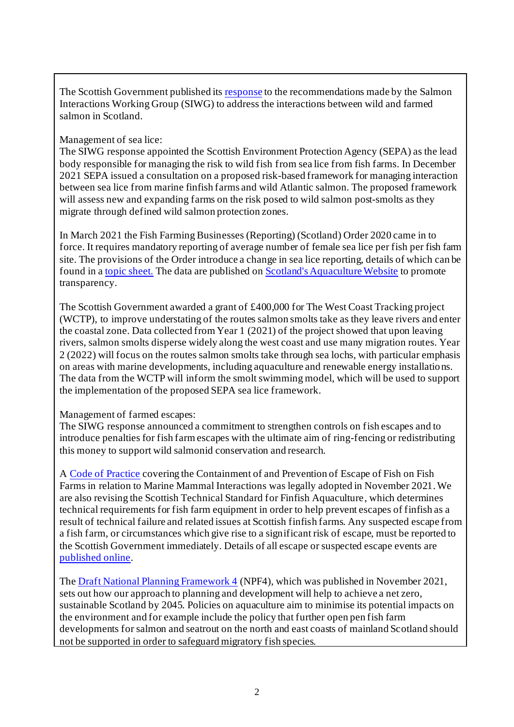The Scottish Government published it[s response](https://www.gov.scot/publications/salmon-interactions-working-group-report-scottish-government-response/) to the recommendations made by the Salmon Interactions Working Group (SIWG) to address the interactions between wild and farmed salmon in Scotland.

## Management of sea lice:

The SIWG response appointed the Scottish Environment Protection Agency (SEPA) as the lead body responsible for managing the risk to wild fish from sea lice from fish farms. In December 2021 SEPA issued a consultation on a proposed risk-based framework for managing interaction between sea lice from marine finfish farms and wild Atlantic salmon. The proposed framework will assess new and expanding farms on the risk posed to wild salmon post-smolts as they migrate through defined wild salmon protection zones.

In March 2021 the Fish Farming Businesses (Reporting) (Scotland) Order 2020 came in to force. It requires mandatory reporting of average number of female sea lice per fish per fish farm site. The provisions of the Order introduce a change in sea lice reporting, details of which can be found in a [topic sheet.](https://www.gov.scot/binaries/content/documents/govscot/publications/factsheet/2019/11/marine-scotland-topic-sheets-aquaculture/documents/the-regulation-of-sea-lice-in-scotland-updated-june-2019/the-regulation-of-sea-lice-in-scotland-updated-june-2019/govscot%3Adocument/71%2BThe%2BRegulation%2Bof%2BSea%2BLice%2Bin%2BScotland%2B2021.pdf) The data are published o[n Scotland's Aquaculture Website](https://scottishepa.maps.arcgis.com/apps/webappviewer/index.html?id=2218824350e5470e8026076d4138da58) to promote transparency.

The Scottish Government awarded a grant of £400,000 for The West Coast Tracking project (WCTP), to improve understating of the routes salmon smolts take as they leave rivers and enter the coastal zone. Data collected from Year 1 (2021) of the project showed that upon leaving rivers, salmon smolts disperse widely along the west coast and use many migration routes. Year 2 (2022) will focus on the routes salmon smolts take through sea lochs, with particular emphasis on areas with marine developments, including aquaculture and renewable energy installations. The data from the WCTP will inform the smolt swimming model, which will be used to support the implementation of the proposed SEPA sea lice framework.

#### Management of farmed escapes:

The SIWG response announced a commitment to strengthen controls on fish escapes and to introduce penalties for fish farm escapes with the ultimate aim of ring-fencing or redistributing this money to support wild salmonid conservation and research.

A [Code of Practice](https://www.gov.scot/binaries/content/documents/govscot/publications/advice-and-guidance/2021/06/aquaculture-code-practice-containment-prevention-escape-fish-fish-farms-relation-marine-mammal-interactions/documents/aquaculture-code-practice-containment-prevention-escape-fish-fish-farms-relation-marine-mammal-interactions/aquaculture-code-practice-containment-prevention-escape-fish-fish-farms-relation-marine-mammal-interactions/govscot%3Adocument/aquaculture-code-practice-containment-prevention-escape-fish-fish-farms-relation-marine-mammal-interactions.pdf) covering the Containment of and Prevention of Escape of Fish on Fish Farms in relation to Marine Mammal Interactions was legally adopted in November 2021. We are also revising the Scottish Technical Standard for Finfish Aquaculture, which determines technical requirements for fish farm equipment in order to help prevent escapes of finfish as a result of technical failure and related issues at Scottish finfish farms. Any suspected escape from a fish farm, or circumstances which give rise to a significant risk of escape, must be reported to the Scottish Government immediately. Details of all escape or suspected escape events are [published online](http://aquaculture.scotland.gov.uk/data/fish_escapes.aspx).

The [Draft National Planning Framework 4](https://www.gov.scot/binaries/content/documents/govscot/publications/consultation-paper/2021/11/scotland-2045-fourth-national-planning-framework-draft/documents/scotland-2045-fourth-national-planning-framework/scotland-2045-fourth-national-planning-framework/govscot%3Adocument/scotland-2045-fourth-national-planning-framework.pdf?forceDownload=true) (NPF4), which was published in November 2021, sets out how our approach to planning and development will help to achieve a net zero, sustainable Scotland by 2045. Policies on aquaculture aim to minimise its potential impacts on the environment and for example include the policy that further open pen fish farm developments for salmon and seatrout on the north and east coasts of mainland Scotland should not be supported in order to safeguard migratory fish species.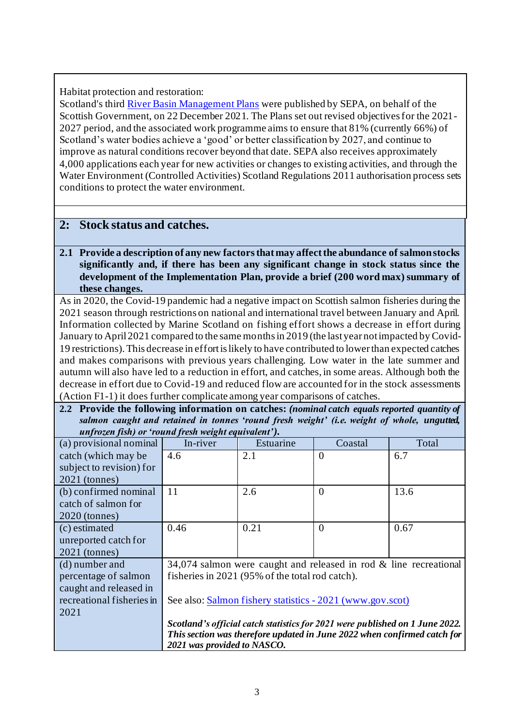## Habitat protection and restoration:

Scotland's thir[d River Basin Management Plans](https://www.sepa.org.uk/environment/water/river-basin-management-planning/) were published by SEPA, on behalf of the Scottish Government, on 22 December 2021. The Plans set out revised objectives for the 2021- 2027 period, and the associated work programme aims to ensure that 81% (currently 66%) of Scotland's water bodies achieve a 'good' or better classification by 2027, and continue to improve as natural conditions recover beyond that date. SEPA also receives approximately 4,000 applications each year for new activities or changes to existing activities, and through the Water Environment (Controlled Activities) Scotland Regulations 2011 authorisation process sets conditions to protect the water environment.

## **2: Stock status and catches.**

#### **2.1 Provide a description of any new factors that may affect the abundance of salmon stocks significantly and, if there has been any significant change in stock status since the development of the Implementation Plan, provide a brief (200 word max) summary of these changes.**

As in 2020, the Covid-19 pandemic had a negative impact on Scottish salmon fisheries during the 2021 season through restrictions on national and international travel between January and April. Information collected by Marine Scotland on fishing effort shows a decrease in effort during January to April 2021 compared to the same months in 2019 (the last year not impacted by Covid-19 restrictions). This decrease in effort is likely to have contributed to lower than expected catches and makes comparisons with previous years challenging. Low water in the late summer and autumn will also have led to a reduction in effort, and catches, in some areas. Although both the decrease in effort due to Covid-19 and reduced flow are accounted for in the stock assessments (Action F1-1) it does further complicate among year comparisons of catches.

**2.2 Provide the following information on catches:** *(nominal catch equals reported quantity of salmon caught and retained in tonnes 'round fresh weight' (i.e. weight of whole, ungutted, unfrozen fish) or 'round fresh weight equivalent').*

| (a) provisional nominal   | In-river                                                             | Estuarine                                                                    | Coastal        | Total |
|---------------------------|----------------------------------------------------------------------|------------------------------------------------------------------------------|----------------|-------|
| catch (which may be       | 4.6                                                                  | 2.1                                                                          | $\overline{0}$ | 6.7   |
| subject to revision) for  |                                                                      |                                                                              |                |       |
| $2021$ (tonnes)           |                                                                      |                                                                              |                |       |
| (b) confirmed nominal     | 11                                                                   | 2.6                                                                          | $\theta$       | 13.6  |
| catch of salmon for       |                                                                      |                                                                              |                |       |
| $2020$ (tonnes)           |                                                                      |                                                                              |                |       |
| (c) estimated             | 0.46                                                                 | 0.21                                                                         | $\overline{0}$ | 0.67  |
| unreported catch for      |                                                                      |                                                                              |                |       |
| $2021$ (tonnes)           |                                                                      |                                                                              |                |       |
| (d) number and            | 34,074 salmon were caught and released in rod $\&$ line recreational |                                                                              |                |       |
| percentage of salmon      | fisheries in 2021 (95% of the total rod catch).                      |                                                                              |                |       |
| caught and released in    |                                                                      |                                                                              |                |       |
| recreational fisheries in | See also: Salmon fishery statistics - 2021 (www.gov.scot)            |                                                                              |                |       |
| 2021                      |                                                                      |                                                                              |                |       |
|                           |                                                                      | Scotland's official catch statistics for 2021 were published on 1 June 2022. |                |       |
|                           |                                                                      | This section was therefore updated in June 2022 when confirmed catch for     |                |       |
|                           | 2021 was provided to NASCO.                                          |                                                                              |                |       |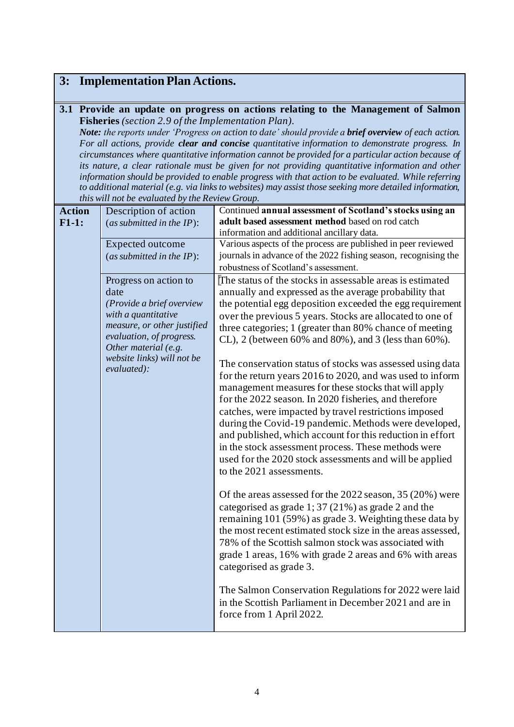## **3: Implementation Plan Actions.**

#### **3.1 Provide an update on progress on actions relating to the Management of Salmon Fisheries** *(section 2.9 of the Implementation Plan).*

*Note: the reports under 'Progress on action to date' should provide a brief overview of each action. For all actions, provide clear and concise quantitative information to demonstrate progress. In circumstances where quantitative information cannot be provided for a particular action because of its nature, a clear rationale must be given for not providing quantitative information and other information should be provided to enable progress with that action to be evaluated. While referring to additional material (e.g. via links to websites) may assist those seeking more detailed information, this will not be evaluated by the Review Group.*

| <b>Action</b> | Description of action                                                                                                                                                                                             | Continued annual assessment of Scotland's stocks using an                                                                                                                                                                                                                                                                                                                                                                                                                                                                                                                                                                                                                                                                                                                                                                                                                                                                                                                                                                                                                                                                                                                                                                                                                                                                                                                                                                                                                             |
|---------------|-------------------------------------------------------------------------------------------------------------------------------------------------------------------------------------------------------------------|---------------------------------------------------------------------------------------------------------------------------------------------------------------------------------------------------------------------------------------------------------------------------------------------------------------------------------------------------------------------------------------------------------------------------------------------------------------------------------------------------------------------------------------------------------------------------------------------------------------------------------------------------------------------------------------------------------------------------------------------------------------------------------------------------------------------------------------------------------------------------------------------------------------------------------------------------------------------------------------------------------------------------------------------------------------------------------------------------------------------------------------------------------------------------------------------------------------------------------------------------------------------------------------------------------------------------------------------------------------------------------------------------------------------------------------------------------------------------------------|
| $F1-1:$       | (as submitted in the $IP$ ):                                                                                                                                                                                      | adult based assessment method based on rod catch                                                                                                                                                                                                                                                                                                                                                                                                                                                                                                                                                                                                                                                                                                                                                                                                                                                                                                                                                                                                                                                                                                                                                                                                                                                                                                                                                                                                                                      |
|               |                                                                                                                                                                                                                   | information and additional ancillary data.                                                                                                                                                                                                                                                                                                                                                                                                                                                                                                                                                                                                                                                                                                                                                                                                                                                                                                                                                                                                                                                                                                                                                                                                                                                                                                                                                                                                                                            |
|               | Expected outcome                                                                                                                                                                                                  | Various aspects of the process are published in peer reviewed                                                                                                                                                                                                                                                                                                                                                                                                                                                                                                                                                                                                                                                                                                                                                                                                                                                                                                                                                                                                                                                                                                                                                                                                                                                                                                                                                                                                                         |
|               | (as submitted in the $IP$ ):                                                                                                                                                                                      | journals in advance of the 2022 fishing season, recognising the                                                                                                                                                                                                                                                                                                                                                                                                                                                                                                                                                                                                                                                                                                                                                                                                                                                                                                                                                                                                                                                                                                                                                                                                                                                                                                                                                                                                                       |
|               |                                                                                                                                                                                                                   | robustness of Scotland's assessment.                                                                                                                                                                                                                                                                                                                                                                                                                                                                                                                                                                                                                                                                                                                                                                                                                                                                                                                                                                                                                                                                                                                                                                                                                                                                                                                                                                                                                                                  |
|               | Progress on action to<br>date<br>(Provide a brief overview<br>with a quantitative<br>measure, or other justified<br>evaluation, of progress.<br>Other material (e.g.<br>website links) will not be<br>evaluated): | The status of the stocks in assessable areas is estimated<br>annually and expressed as the average probability that<br>the potential egg deposition exceeded the egg requirement<br>over the previous 5 years. Stocks are allocated to one of<br>three categories; 1 (greater than 80% chance of meeting<br>CL), 2 (between 60% and 80%), and 3 (less than 60%).<br>The conservation status of stocks was assessed using data<br>for the return years 2016 to 2020, and was used to inform<br>management measures for these stocks that will apply<br>for the 2022 season. In 2020 fisheries, and therefore<br>catches, were impacted by travel restrictions imposed<br>during the Covid-19 pandemic. Methods were developed,<br>and published, which account for this reduction in effort<br>in the stock assessment process. These methods were<br>used for the 2020 stock assessments and will be applied<br>to the 2021 assessments.<br>Of the areas assessed for the 2022 season, 35 (20%) were<br>categorised as grade $1, 37$ (21%) as grade 2 and the<br>remaining 101 (59%) as grade 3. Weighting these data by<br>the most recent estimated stock size in the areas assessed,<br>78% of the Scottish salmon stock was associated with<br>grade 1 areas, 16% with grade 2 areas and 6% with areas<br>categorised as grade 3.<br>The Salmon Conservation Regulations for 2022 were laid<br>in the Scottish Parliament in December 2021 and are in<br>force from 1 April 2022. |
|               |                                                                                                                                                                                                                   |                                                                                                                                                                                                                                                                                                                                                                                                                                                                                                                                                                                                                                                                                                                                                                                                                                                                                                                                                                                                                                                                                                                                                                                                                                                                                                                                                                                                                                                                                       |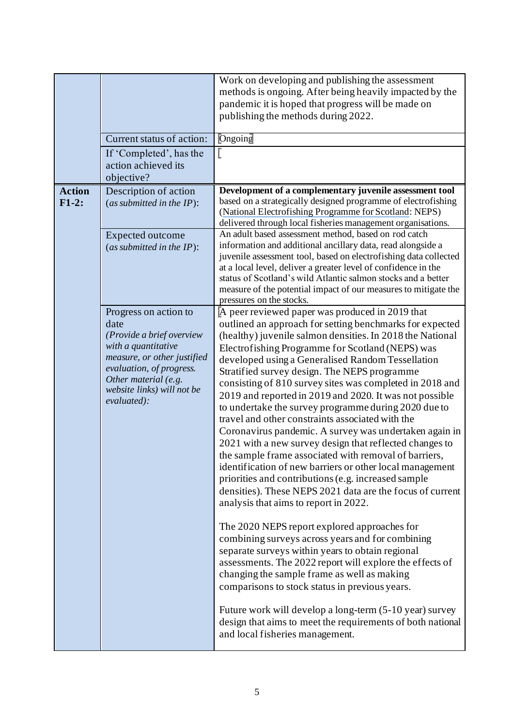|                           | Current status of action:<br>If 'Completed', has the<br>action achieved its<br>objective?                                                                                                          | Work on developing and publishing the assessment<br>methods is ongoing. After being heavily impacted by the<br>pandemic it is hoped that progress will be made on<br>publishing the methods during 2022.<br><b>Ongoing</b>                                                                                                                                                                                                                                                                                                                                                 |
|---------------------------|----------------------------------------------------------------------------------------------------------------------------------------------------------------------------------------------------|----------------------------------------------------------------------------------------------------------------------------------------------------------------------------------------------------------------------------------------------------------------------------------------------------------------------------------------------------------------------------------------------------------------------------------------------------------------------------------------------------------------------------------------------------------------------------|
| <b>Action</b><br>$F1-2$ : | Description of action<br>(as submitted in the $IP$ ):<br><b>Expected outcome</b><br>(as submitted in the $IP$ ):                                                                                   | Development of a complementary juvenile assessment tool<br>based on a strategically designed programme of electrofishing<br>(National Electrofishing Programme for Scotland: NEPS)<br>delivered through local fisheries management organisations.<br>An adult based assessment method, based on rod catch<br>information and additional ancillary data, read alongside a<br>juvenile assessment tool, based on electrofishing data collected<br>at a local level, deliver a greater level of confidence in the                                                             |
|                           | Progress on action to<br>date<br>(Provide a brief overview<br>with a quantitative<br>measure, or other justified<br>evaluation, of progress.<br>Other material (e.g.<br>website links) will not be | status of Scotland's wild Atlantic salmon stocks and a better<br>measure of the potential impact of our measures to mitigate the<br>pressures on the stocks.<br>A peer reviewed paper was produced in 2019 that<br>outlined an approach for setting benchmarks for expected<br>(healthy) juvenile salmon densities. In 2018 the National<br>Electrofishing Programme for Scotland (NEPS) was<br>developed using a Generalised Random Tessellation<br>Stratified survey design. The NEPS programme<br>consisting of 810 survey sites was completed in 2018 and              |
|                           | evaluated):                                                                                                                                                                                        | 2019 and reported in 2019 and 2020. It was not possible<br>to undertake the survey programme during 2020 due to<br>travel and other constraints associated with the<br>Coronavirus pandemic. A survey was undertaken again in<br>2021 with a new survey design that reflected changes to<br>the sample frame associated with removal of barriers,<br>identification of new barriers or other local management<br>priorities and contributions (e.g. increased sample<br>densities). These NEPS 2021 data are the focus of current<br>analysis that aims to report in 2022. |
|                           |                                                                                                                                                                                                    | The 2020 NEPS report explored approaches for<br>combining surveys across years and for combining<br>separate surveys within years to obtain regional<br>assessments. The 2022 report will explore the effects of<br>changing the sample frame as well as making<br>comparisons to stock status in previous years.                                                                                                                                                                                                                                                          |
|                           |                                                                                                                                                                                                    | Future work will develop a long-term (5-10 year) survey<br>design that aims to meet the requirements of both national<br>and local fisheries management.                                                                                                                                                                                                                                                                                                                                                                                                                   |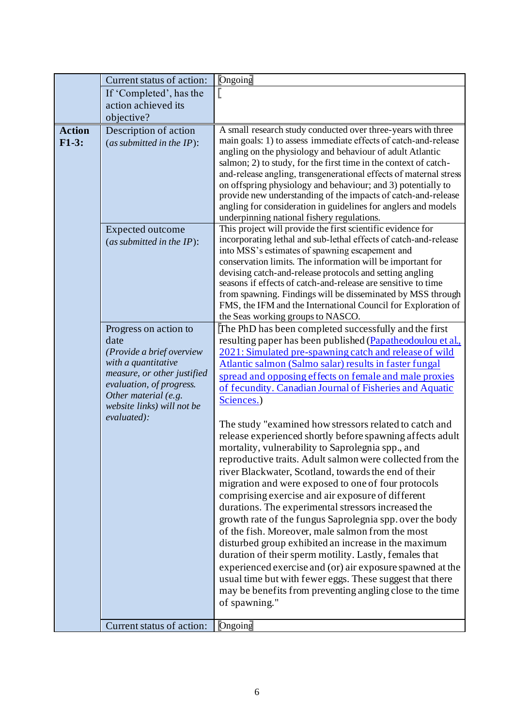|               | Current status of action:                        | Ongoing                                                                                                                       |
|---------------|--------------------------------------------------|-------------------------------------------------------------------------------------------------------------------------------|
|               | If 'Completed', has the                          |                                                                                                                               |
|               | action achieved its                              |                                                                                                                               |
|               | objective?                                       |                                                                                                                               |
| <b>Action</b> | Description of action                            | A small research study conducted over three-years with three                                                                  |
| $F1-3:$       | (as submitted in the $IP$ ):                     | main goals: 1) to assess immediate effects of catch-and-release                                                               |
|               |                                                  | angling on the physiology and behaviour of adult Atlantic                                                                     |
|               |                                                  | salmon; 2) to study, for the first time in the context of catch-                                                              |
|               |                                                  | and-release angling, transgenerational effects of maternal stress                                                             |
|               |                                                  | on offspring physiology and behaviour; and 3) potentially to<br>provide new understanding of the impacts of catch-and-release |
|               |                                                  | angling for consideration in guidelines for anglers and models                                                                |
|               |                                                  | underpinning national fishery regulations.                                                                                    |
|               | Expected outcome                                 | This project will provide the first scientific evidence for                                                                   |
|               | (as submitted in the $IP$ ):                     | incorporating lethal and sub-lethal effects of catch-and-release                                                              |
|               |                                                  | into MSS's estimates of spawning escapement and                                                                               |
|               |                                                  | conservation limits. The information will be important for                                                                    |
|               |                                                  | devising catch-and-release protocols and setting angling<br>seasons if effects of catch-and-release are sensitive to time     |
|               |                                                  | from spawning. Findings will be disseminated by MSS through                                                                   |
|               |                                                  | FMS, the IFM and the International Council for Exploration of                                                                 |
|               |                                                  | the Seas working groups to NASCO.                                                                                             |
|               | Progress on action to                            | The PhD has been completed successfully and the first                                                                         |
|               | date                                             | resulting paper has been published (Papatheodoulou et al.,                                                                    |
|               | (Provide a brief overview<br>with a quantitative | 2021: Simulated pre-spawning catch and release of wild                                                                        |
|               | measure, or other justified                      | Atlantic salmon (Salmo salar) results in faster fungal                                                                        |
|               | evaluation, of progress.                         | spread and opposing effects on female and male proxies<br>of fecundity. Canadian Journal of Fisheries and Aquatic             |
|               | Other material (e.g.                             | Sciences.)                                                                                                                    |
|               | website links) will not be                       |                                                                                                                               |
|               | evaluated):                                      | The study "examined how stressors related to catch and                                                                        |
|               |                                                  | release experienced shortly before spawning affects adult                                                                     |
|               |                                                  | mortality, vulnerability to Saprolegnia spp., and                                                                             |
|               |                                                  | reproductive traits. Adult salmon were collected from the                                                                     |
|               |                                                  | river Blackwater, Scotland, towards the end of their                                                                          |
|               |                                                  | migration and were exposed to one of four protocols                                                                           |
|               |                                                  | comprising exercise and air exposure of different                                                                             |
|               |                                                  | durations. The experimental stressors increased the                                                                           |
|               |                                                  | growth rate of the fungus Saprolegnia spp. over the body                                                                      |
|               |                                                  | of the fish. Moreover, male salmon from the most                                                                              |
|               |                                                  | disturbed group exhibited an increase in the maximum                                                                          |
|               |                                                  | duration of their sperm motility. Lastly, females that                                                                        |
|               |                                                  | experienced exercise and (or) air exposure spawned at the                                                                     |
|               |                                                  | usual time but with fewer eggs. These suggest that there<br>may be benefits from preventing angling close to the time         |
|               |                                                  | of spawning."                                                                                                                 |
|               |                                                  |                                                                                                                               |
|               | Current status of action:                        | Ongoing                                                                                                                       |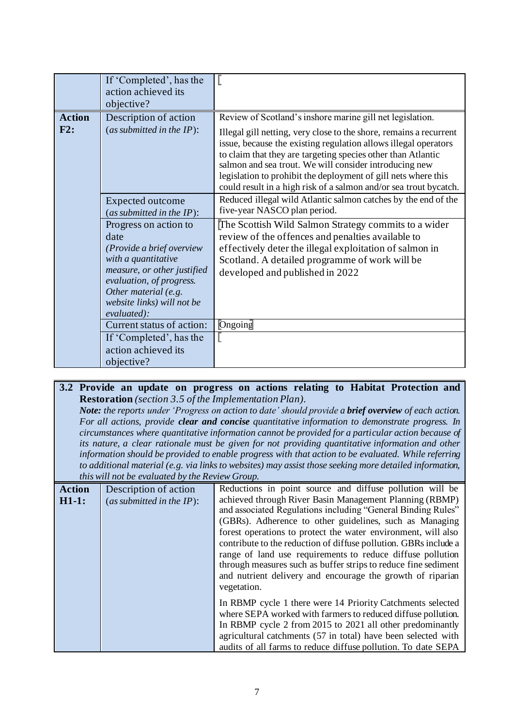|                      | If 'Completed', has the<br>action achieved its<br>objective?                                                                                                                                                      |                                                                                                                                                                                                                                                                                                                                                                                                                                                                     |
|----------------------|-------------------------------------------------------------------------------------------------------------------------------------------------------------------------------------------------------------------|---------------------------------------------------------------------------------------------------------------------------------------------------------------------------------------------------------------------------------------------------------------------------------------------------------------------------------------------------------------------------------------------------------------------------------------------------------------------|
| <b>Action</b><br>F2: | Description of action<br>(as submitted in the $IP$ ):                                                                                                                                                             | Review of Scotland's inshore marine gill net legislation.<br>Illegal gill netting, very close to the shore, remains a recurrent<br>issue, because the existing regulation allows illegal operators<br>to claim that they are targeting species other than Atlantic<br>salmon and sea trout. We will consider introducing new<br>legislation to prohibit the deployment of gill nets where this<br>could result in a high risk of a salmon and/or sea trout bycatch. |
|                      | Expected outcome<br>(as submitted in the $IP$ ):                                                                                                                                                                  | Reduced illegal wild Atlantic salmon catches by the end of the<br>five-year NASCO plan period.                                                                                                                                                                                                                                                                                                                                                                      |
|                      | Progress on action to<br>date<br>(Provide a brief overview<br>with a quantitative<br>measure, or other justified<br>evaluation, of progress.<br>Other material (e.g.<br>website links) will not be<br>evaluated): | The Scottish Wild Salmon Strategy commits to a wider<br>review of the offences and penalties available to<br>effectively deter the illegal exploitation of salmon in<br>Scotland. A detailed programme of work will be<br>developed and published in 2022                                                                                                                                                                                                           |
|                      | Current status of action:<br>If 'Completed', has the                                                                                                                                                              | $\sqrt{\text{Ongoing}}$                                                                                                                                                                                                                                                                                                                                                                                                                                             |
|                      | action achieved its<br>objective?                                                                                                                                                                                 |                                                                                                                                                                                                                                                                                                                                                                                                                                                                     |

#### **3.2 Provide an update on progress on actions relating to Habitat Protection and Restoration** *(section 3.5 of the Implementation Plan).*

*Note: the reports under 'Progress on action to date' should provide a brief overview of each action. For all actions, provide clear and concise quantitative information to demonstrate progress. In circumstances where quantitative information cannot be provided for a particular action because of its nature, a clear rationale must be given for not providing quantitative information and other information should be provided to enable progress with that action to be evaluated. While referring to additional material (e.g. via links to websites) may assist those seeking more detailed information, this will not be evaluated by the Review Group.*

| <b>Action</b><br>$H1-1:$ | Description of action<br>(as submitted in the $IP$ ): | Reductions in point source and diffuse pollution will be<br>achieved through River Basin Management Planning (RBMP)<br>and associated Regulations including "General Binding Rules"<br>(GBRs). Adherence to other guidelines, such as Managing<br>forest operations to protect the water environment, will also<br>contribute to the reduction of diffuse pollution. GBRs include a<br>range of land use requirements to reduce diffuse pollution<br>through measures such as buffer strips to reduce fine sediment<br>and nutrient delivery and encourage the growth of riparian<br>vegetation. |
|--------------------------|-------------------------------------------------------|--------------------------------------------------------------------------------------------------------------------------------------------------------------------------------------------------------------------------------------------------------------------------------------------------------------------------------------------------------------------------------------------------------------------------------------------------------------------------------------------------------------------------------------------------------------------------------------------------|
|                          |                                                       | In RBMP cycle 1 there were 14 Priority Catchments selected<br>where SEPA worked with farmers to reduced diffuse pollution.<br>In RBMP cycle 2 from 2015 to 2021 all other predominantly<br>agricultural catchments (57 in total) have been selected with<br>audits of all farms to reduce diffuse pollution. To date SEPA                                                                                                                                                                                                                                                                        |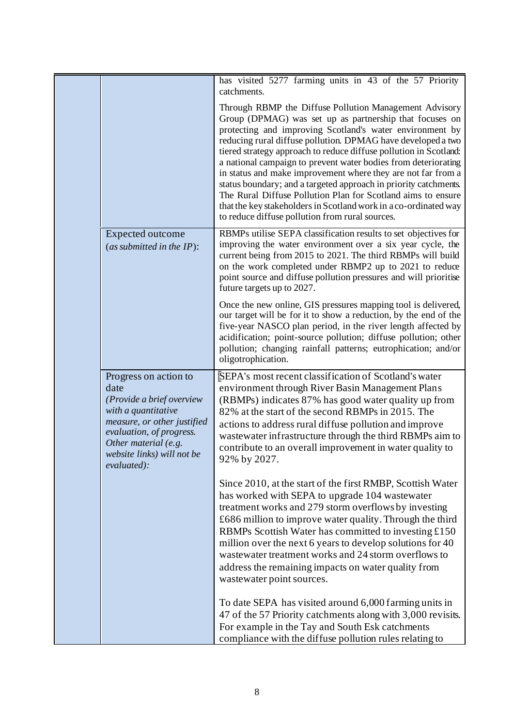|                                                                                                                                                                                                                   | has visited 5277 farming units in 43 of the 57 Priority<br>catchments.                                                                                                                                                                                                                                                                                                                                                                                                                                                                                                                                                                                                                                          |
|-------------------------------------------------------------------------------------------------------------------------------------------------------------------------------------------------------------------|-----------------------------------------------------------------------------------------------------------------------------------------------------------------------------------------------------------------------------------------------------------------------------------------------------------------------------------------------------------------------------------------------------------------------------------------------------------------------------------------------------------------------------------------------------------------------------------------------------------------------------------------------------------------------------------------------------------------|
|                                                                                                                                                                                                                   | Through RBMP the Diffuse Pollution Management Advisory<br>Group (DPMAG) was set up as partnership that focuses on<br>protecting and improving Scotland's water environment by<br>reducing rural diffuse pollution. DPMAG have developed a two<br>tiered strategy approach to reduce diffuse pollution in Scotland:<br>a national campaign to prevent water bodies from deteriorating<br>in status and make improvement where they are not far from a<br>status boundary; and a targeted approach in priority catchments.<br>The Rural Diffuse Pollution Plan for Scotland aims to ensure<br>that the key stakeholders in Scotland work in a co-ordinated way<br>to reduce diffuse pollution from rural sources. |
| <b>Expected outcome</b><br>(as submitted in the $IP$ ):                                                                                                                                                           | RBMPs utilise SEPA classification results to set objectives for<br>improving the water environment over a six year cycle, the<br>current being from 2015 to 2021. The third RBMPs will build<br>on the work completed under RBMP2 up to 2021 to reduce<br>point source and diffuse pollution pressures and will prioritise<br>future targets up to 2027.                                                                                                                                                                                                                                                                                                                                                        |
|                                                                                                                                                                                                                   | Once the new online, GIS pressures mapping tool is delivered,<br>our target will be for it to show a reduction, by the end of the<br>five-year NASCO plan period, in the river length affected by<br>acidification; point-source pollution; diffuse pollution; other<br>pollution; changing rainfall patterns; eutrophication; and/or<br>oligotrophication.                                                                                                                                                                                                                                                                                                                                                     |
| Progress on action to<br>date<br>(Provide a brief overview<br>with a quantitative<br>measure, or other justified<br>evaluation, of progress.<br>Other material (e.g.<br>website links) will not be<br>evaluated): | SEPA's most recent classification of Scotland's water<br>environment through River Basin Management Plans<br>(RBMPs) indicates 87% has good water quality up from<br>82% at the start of the second RBMPs in 2015. The<br>actions to address rural diffuse pollution and improve<br>wastewater infrastructure through the third RBMPs aim to<br>contribute to an overall improvement in water quality to<br>92% by 2027.                                                                                                                                                                                                                                                                                        |
|                                                                                                                                                                                                                   | Since 2010, at the start of the first RMBP, Scottish Water<br>has worked with SEPA to upgrade 104 wastewater<br>treatment works and 279 storm overflows by investing<br>£686 million to improve water quality. Through the third<br>RBMPs Scottish Water has committed to investing £150<br>million over the next 6 years to develop solutions for 40<br>wastewater treatment works and 24 storm overflows to<br>address the remaining impacts on water quality from<br>wastewater point sources.                                                                                                                                                                                                               |
|                                                                                                                                                                                                                   | To date SEPA has visited around 6,000 farming units in<br>47 of the 57 Priority catchments along with 3,000 revisits.<br>For example in the Tay and South Esk catchments<br>compliance with the diffuse pollution rules relating to                                                                                                                                                                                                                                                                                                                                                                                                                                                                             |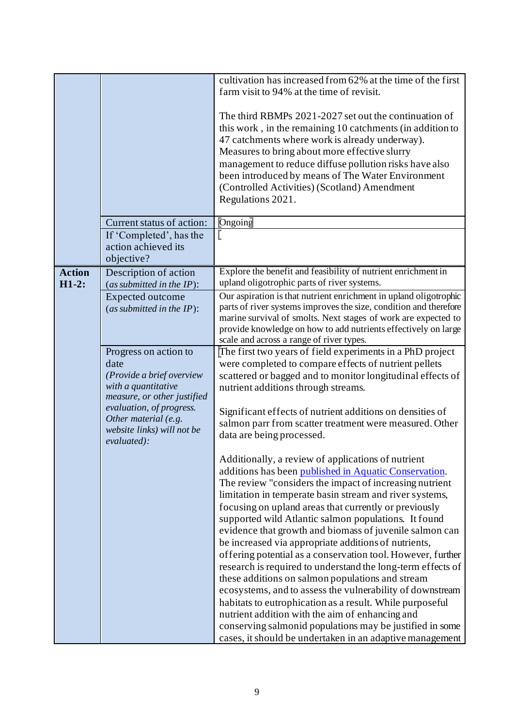|               |                                                  | cultivation has increased from 62% at the time of the first       |
|---------------|--------------------------------------------------|-------------------------------------------------------------------|
|               |                                                  | farm visit to 94% at the time of revisit.                         |
|               |                                                  |                                                                   |
|               |                                                  | The third RBMPs 2021-2027 set out the continuation of             |
|               |                                                  | this work, in the remaining 10 catchments (in addition to         |
|               |                                                  | 47 catchments where work is already underway).                    |
|               |                                                  | Measures to bring about more effective slurry                     |
|               |                                                  | management to reduce diffuse pollution risks have also            |
|               |                                                  | been introduced by means of The Water Environment                 |
|               |                                                  | (Controlled Activities) (Scotland) Amendment                      |
|               |                                                  | Regulations 2021.                                                 |
|               | Current status of action:                        | Ongoing                                                           |
|               | If 'Completed', has the                          |                                                                   |
|               | action achieved its                              |                                                                   |
|               | objective?                                       |                                                                   |
| <b>Action</b> | Description of action                            | Explore the benefit and feasibility of nutrient enrichment in     |
| $H1-2$ :      | (as submitted in the $IP$ ):                     | upland oligotrophic parts of river systems.                       |
|               | Expected outcome                                 | Our aspiration is that nutrient enrichment in upland oligotrophic |
|               | (as submitted in the $IP$ ):                     | parts of river systems improves the size, condition and therefore |
|               |                                                  | marine survival of smolts. Next stages of work are expected to    |
|               |                                                  | provide knowledge on how to add nutrients effectively on large    |
|               |                                                  | scale and across a range of river types.                          |
|               | Progress on action to                            | The first two years of field experiments in a PhD project         |
|               | date                                             | were completed to compare effects of nutrient pellets             |
|               | (Provide a brief overview                        | scattered or bagged and to monitor longitudinal effects of        |
|               | with a quantitative                              | nutrient additions through streams.                               |
|               | measure, or other justified                      |                                                                   |
|               | evaluation, of progress.<br>Other material (e.g. | Significant effects of nutrient additions on densities of         |
|               | website links) will not be                       | salmon parr from scatter treatment were measured. Other           |
|               | evaluated):                                      | data are being processed.                                         |
|               |                                                  |                                                                   |
|               |                                                  | Additionally, a review of applications of nutrient                |
|               |                                                  | additions has been published in Aquatic Conservation.             |
|               |                                                  | The review "considers the impact of increasing nutrient           |
|               |                                                  | limitation in temperate basin stream and river systems,           |
|               |                                                  | focusing on upland areas that currently or previously             |
|               |                                                  | supported wild Atlantic salmon populations. It found              |
|               |                                                  | evidence that growth and biomass of juvenile salmon can           |
|               |                                                  | be increased via appropriate additions of nutrients,              |
|               |                                                  | offering potential as a conservation tool. However, further       |
|               |                                                  | research is required to understand the long-term effects of       |
|               |                                                  | these additions on salmon populations and stream                  |
|               |                                                  | ecosystems, and to assess the vulnerability of downstream         |
|               |                                                  | habitats to eutrophication as a result. While purposeful          |
|               |                                                  | nutrient addition with the aim of enhancing and                   |
|               |                                                  | conserving salmonid populations may be justified in some          |
|               |                                                  | cases, it should be undertaken in an adaptive management          |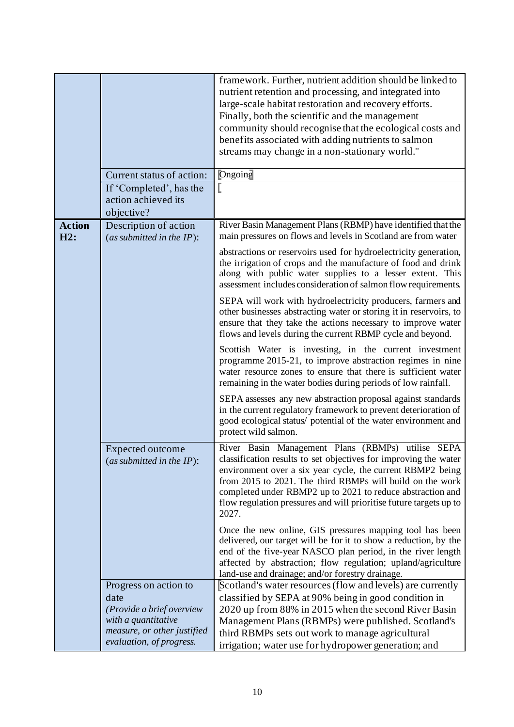|                      | Current status of action:<br>If 'Completed', has the<br>action achieved its                                                                  | framework. Further, nutrient addition should be linked to<br>nutrient retention and processing, and integrated into<br>large-scale habitat restoration and recovery efforts.<br>Finally, both the scientific and the management<br>community should recognise that the ecological costs and<br>benefits associated with adding nutrients to salmon<br>streams may change in a non-stationary world."<br>Ongoing |
|----------------------|----------------------------------------------------------------------------------------------------------------------------------------------|-----------------------------------------------------------------------------------------------------------------------------------------------------------------------------------------------------------------------------------------------------------------------------------------------------------------------------------------------------------------------------------------------------------------|
|                      | objective?                                                                                                                                   |                                                                                                                                                                                                                                                                                                                                                                                                                 |
| <b>Action</b><br>H2: | Description of action<br>(as submitted in the $IP$ ):                                                                                        | River Basin Management Plans (RBMP) have identified that the<br>main pressures on flows and levels in Scotland are from water                                                                                                                                                                                                                                                                                   |
|                      |                                                                                                                                              | abstractions or reservoirs used for hydroelectricity generation,<br>the irrigation of crops and the manufacture of food and drink<br>along with public water supplies to a lesser extent. This<br>assessment includes consideration of salmon flow requirements.                                                                                                                                                |
|                      |                                                                                                                                              | SEPA will work with hydroelectricity producers, farmers and<br>other businesses abstracting water or storing it in reservoirs, to<br>ensure that they take the actions necessary to improve water<br>flows and levels during the current RBMP cycle and beyond.                                                                                                                                                 |
|                      |                                                                                                                                              | Scottish Water is investing, in the current investment<br>programme 2015-21, to improve abstraction regimes in nine<br>water resource zones to ensure that there is sufficient water<br>remaining in the water bodies during periods of low rainfall.                                                                                                                                                           |
|                      |                                                                                                                                              | SEPA assesses any new abstraction proposal against standards<br>in the current regulatory framework to prevent deterioration of<br>good ecological status/ potential of the water environment and<br>protect wild salmon.                                                                                                                                                                                       |
|                      | Expected outcome<br>(as submitted in the $IP$ ):                                                                                             | River Basin Management Plans (RBMPs) utilise SEPA<br>classification results to set objectives for improving the water<br>environment over a six year cycle, the current RBMP2 being<br>from 2015 to 2021. The third RBMPs will build on the work<br>completed under RBMP2 up to 2021 to reduce abstraction and<br>flow regulation pressures and will prioritise future targets up to<br>2027.                   |
|                      |                                                                                                                                              | Once the new online, GIS pressures mapping tool has been<br>delivered, our target will be for it to show a reduction, by the<br>end of the five-year NASCO plan period, in the river length<br>affected by abstraction; flow regulation; upland/agriculture<br>land-use and drainage; and/or forestry drainage.                                                                                                 |
|                      | Progress on action to<br>date<br>(Provide a brief overview<br>with a quantitative<br>measure, or other justified<br>evaluation, of progress. | Scotland's water resources (flow and levels) are currently<br>classified by SEPA at 90% being in good condition in<br>2020 up from 88% in 2015 when the second River Basin<br>Management Plans (RBMPs) were published. Scotland's<br>third RBMPs sets out work to manage agricultural<br>irrigation; water use for hydropower generation; and                                                                   |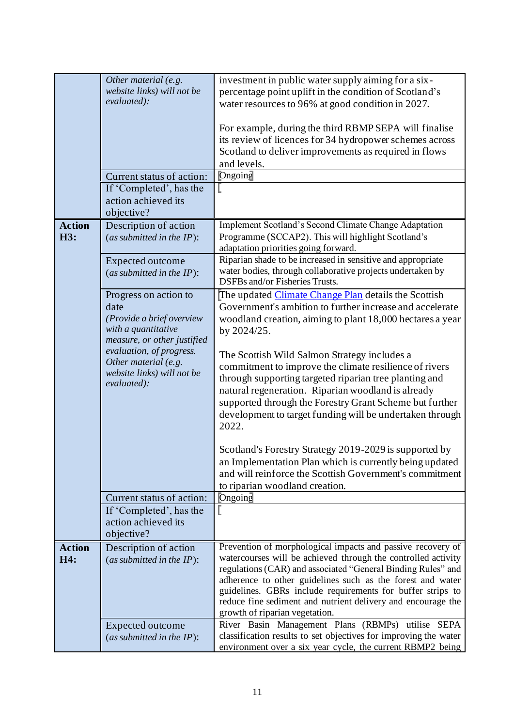|               | Other material (e.g.         | investment in public water supply aiming for a six-              |
|---------------|------------------------------|------------------------------------------------------------------|
|               | website links) will not be   | percentage point uplift in the condition of Scotland's           |
|               | evaluated):                  | water resources to 96% at good condition in 2027.                |
|               |                              |                                                                  |
|               |                              |                                                                  |
|               |                              | For example, during the third RBMP SEPA will finalise            |
|               |                              | its review of licences for 34 hydropower schemes across          |
|               |                              | Scotland to deliver improvements as required in flows            |
|               |                              | and levels.                                                      |
|               | Current status of action:    | Ongoing                                                          |
|               | If 'Completed', has the      |                                                                  |
|               | action achieved its          |                                                                  |
|               | objective?                   |                                                                  |
|               |                              |                                                                  |
| <b>Action</b> | Description of action        | Implement Scotland's Second Climate Change Adaptation            |
| H3:           | (as submitted in the $IP$ ): | Programme (SCCAP2). This will highlight Scotland's               |
|               |                              | adaptation priorities going forward.                             |
|               | Expected outcome             | Riparian shade to be increased in sensitive and appropriate      |
|               | (as submitted in the $IP$ ): | water bodies, through collaborative projects undertaken by       |
|               |                              | DSFBs and/or Fisheries Trusts.                                   |
|               | Progress on action to        | The updated Climate Change Plan details the Scottish             |
|               | date                         | Government's ambition to further increase and accelerate         |
|               | (Provide a brief overview    | woodland creation, aiming to plant 18,000 hectares a year        |
|               | with a quantitative          |                                                                  |
|               | measure, or other justified  | by 2024/25.                                                      |
|               | evaluation, of progress.     |                                                                  |
|               | Other material (e.g.         | The Scottish Wild Salmon Strategy includes a                     |
|               | website links) will not be   | commitment to improve the climate resilience of rivers           |
|               | evaluated):                  | through supporting targeted riparian tree planting and           |
|               |                              | natural regeneration. Riparian woodland is already               |
|               |                              | supported through the Forestry Grant Scheme but further          |
|               |                              | development to target funding will be undertaken through         |
|               |                              | 2022.                                                            |
|               |                              |                                                                  |
|               |                              | Scotland's Forestry Strategy 2019-2029 is supported by           |
|               |                              |                                                                  |
|               |                              | an Implementation Plan which is currently being updated          |
|               |                              | and will reinforce the Scottish Government's commitment          |
|               |                              | to riparian woodland creation.                                   |
|               | Current status of action:    | Ongoing                                                          |
|               | If 'Completed', has the      |                                                                  |
|               | action achieved its          |                                                                  |
|               | objective?                   |                                                                  |
| <b>Action</b> | Description of action        | Prevention of morphological impacts and passive recovery of      |
| H4:           | (as submitted in the $IP$ ): | watercourses will be achieved through the controlled activity    |
|               |                              | regulations (CAR) and associated "General Binding Rules" and     |
|               |                              | adherence to other guidelines such as the forest and water       |
|               |                              | guidelines. GBRs include requirements for buffer strips to       |
|               |                              | reduce fine sediment and nutrient delivery and encourage the     |
|               |                              | growth of riparian vegetation.                                   |
|               | Expected outcome             | River Basin Management Plans (RBMPs) utilise SEPA                |
|               |                              | classification results to set objectives for improving the water |
|               | (as submitted in the $IP$ ): |                                                                  |
|               |                              | environment over a six year cycle, the current RBMP2 being       |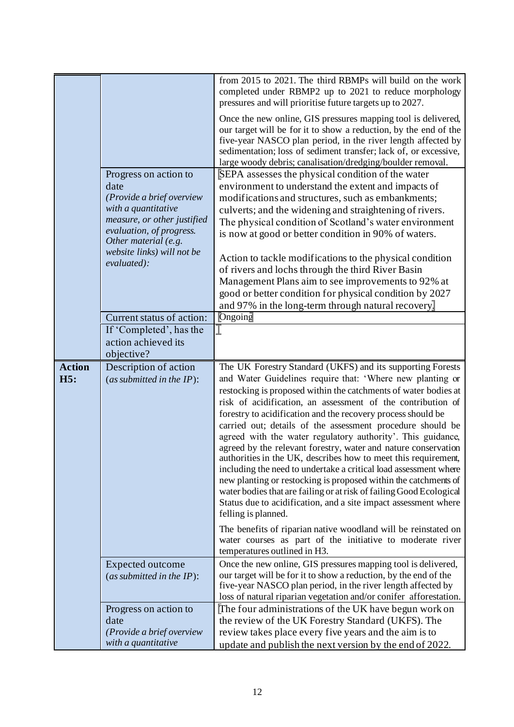|                      | Progress on action to<br>date<br>(Provide a brief overview<br>with a quantitative<br>measure, or other justified<br>evaluation, of progress.<br>Other material (e.g.<br>website links) will not be<br>evaluated): | from 2015 to 2021. The third RBMPs will build on the work<br>completed under RBMP2 up to 2021 to reduce morphology<br>pressures and will prioritise future targets up to 2027.<br>Once the new online, GIS pressures mapping tool is delivered,<br>our target will be for it to show a reduction, by the end of the<br>five-year NASCO plan period, in the river length affected by<br>sedimentation; loss of sediment transfer; lack of, or excessive,<br>large woody debris; canalisation/dredging/boulder removal.<br>SEPA assesses the physical condition of the water<br>environment to understand the extent and impacts of<br>modifications and structures, such as embankments;<br>culverts; and the widening and straightening of rivers.<br>The physical condition of Scotland's water environment<br>is now at good or better condition in 90% of waters.<br>Action to tackle modifications to the physical condition<br>of rivers and lochs through the third River Basin<br>Management Plans aim to see improvements to 92% at<br>good or better condition for physical condition by 2027<br>and 97% in the long-term through natural recovery. |
|----------------------|-------------------------------------------------------------------------------------------------------------------------------------------------------------------------------------------------------------------|--------------------------------------------------------------------------------------------------------------------------------------------------------------------------------------------------------------------------------------------------------------------------------------------------------------------------------------------------------------------------------------------------------------------------------------------------------------------------------------------------------------------------------------------------------------------------------------------------------------------------------------------------------------------------------------------------------------------------------------------------------------------------------------------------------------------------------------------------------------------------------------------------------------------------------------------------------------------------------------------------------------------------------------------------------------------------------------------------------------------------------------------------------------|
|                      | Current status of action:                                                                                                                                                                                         | Ongoing                                                                                                                                                                                                                                                                                                                                                                                                                                                                                                                                                                                                                                                                                                                                                                                                                                                                                                                                                                                                                                                                                                                                                      |
|                      | If 'Completed', has the<br>action achieved its<br>objective?                                                                                                                                                      |                                                                                                                                                                                                                                                                                                                                                                                                                                                                                                                                                                                                                                                                                                                                                                                                                                                                                                                                                                                                                                                                                                                                                              |
| <b>Action</b><br>H5: | Description of action<br>(as submitted in the $IP$ ):                                                                                                                                                             | The UK Forestry Standard (UKFS) and its supporting Forests<br>and Water Guidelines require that: 'Where new planting or<br>restocking is proposed within the catchments of water bodies at<br>risk of acidification, an assessment of the contribution of<br>forestry to acidification and the recovery process should be<br>carried out; details of the assessment procedure should be<br>agreed with the water regulatory authority'. This guidance,<br>agreed by the relevant forestry, water and nature conservation<br>authorities in the UK, describes how to meet this requirement,<br>including the need to undertake a critical load assessment where<br>new planting or restocking is proposed within the catchments of<br>water bodies that are failing or at risk of failing Good Ecological<br>Status due to acidification, and a site impact assessment where<br>felling is planned.<br>The benefits of riparian native woodland will be reinstated on<br>water courses as part of the initiative to moderate river<br>temperatures outlined in H3.                                                                                            |
|                      | <b>Expected outcome</b><br>(as submitted in the $IP$ ):                                                                                                                                                           | Once the new online, GIS pressures mapping tool is delivered,<br>our target will be for it to show a reduction, by the end of the<br>five-year NASCO plan period, in the river length affected by<br>loss of natural riparian vegetation and/or conifer afforestation.                                                                                                                                                                                                                                                                                                                                                                                                                                                                                                                                                                                                                                                                                                                                                                                                                                                                                       |
|                      | Progress on action to<br>date<br>(Provide a brief overview<br>with a quantitative                                                                                                                                 | The four administrations of the UK have begun work on<br>the review of the UK Forestry Standard (UKFS). The<br>review takes place every five years and the aim is to<br>update and publish the next version by the end of 2022.                                                                                                                                                                                                                                                                                                                                                                                                                                                                                                                                                                                                                                                                                                                                                                                                                                                                                                                              |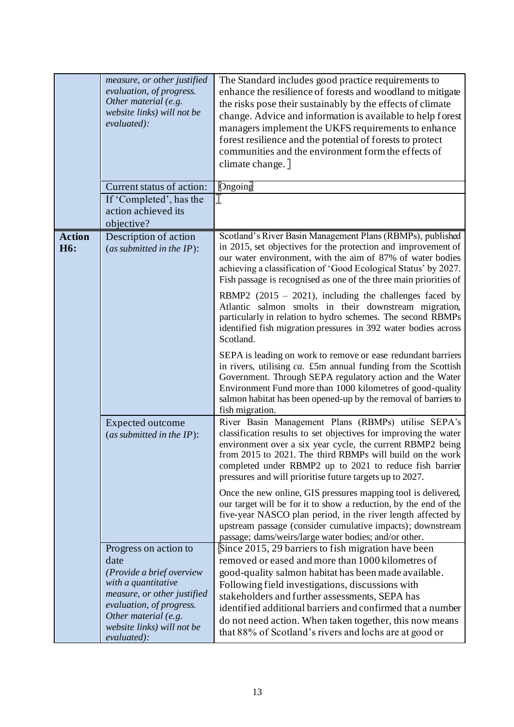|                                   | measure, or other justified<br>evaluation, of progress.<br>Other material (e.g.<br>website links) will not be<br>evaluated):<br>Current status of action:                                                         | The Standard includes good practice requirements to<br>enhance the resilience of forests and woodland to mitigate<br>the risks pose their sustainably by the effects of climate<br>change. Advice and information is available to help forest<br>managers implement the UKFS requirements to enhance<br>forest resilience and the potential of forests to protect<br>communities and the environment form the effects of<br>climate change.]<br>Ongoing   |
|-----------------------------------|-------------------------------------------------------------------------------------------------------------------------------------------------------------------------------------------------------------------|-----------------------------------------------------------------------------------------------------------------------------------------------------------------------------------------------------------------------------------------------------------------------------------------------------------------------------------------------------------------------------------------------------------------------------------------------------------|
|                                   | If 'Completed', has the<br>action achieved its<br>objective?                                                                                                                                                      |                                                                                                                                                                                                                                                                                                                                                                                                                                                           |
| <b>Action</b><br>H <sub>6</sub> : | Description of action<br>(as submitted in the $IP$ ):                                                                                                                                                             | Scotland's River Basin Management Plans (RBMPs), published<br>in 2015, set objectives for the protection and improvement of<br>our water environment, with the aim of 87% of water bodies<br>achieving a classification of 'Good Ecological Status' by 2027.<br>Fish passage is recognised as one of the three main priorities of                                                                                                                         |
|                                   |                                                                                                                                                                                                                   | RBMP2 $(2015 - 2021)$ , including the challenges faced by<br>Atlantic salmon smolts in their downstream migration,<br>particularly in relation to hydro schemes. The second RBMPs<br>identified fish migration pressures in 392 water bodies across<br>Scotland.                                                                                                                                                                                          |
|                                   |                                                                                                                                                                                                                   | SEPA is leading on work to remove or ease redundant barriers<br>in rivers, utilising ca. £5m annual funding from the Scottish<br>Government. Through SEPA regulatory action and the Water<br>Environment Fund more than 1000 kilometres of good-quality<br>salmon habitat has been opened-up by the removal of barriers to<br>fish migration.                                                                                                             |
|                                   | Expected outcome<br>(as submitted in the $IP$ ):                                                                                                                                                                  | River Basin Management Plans (RBMPs) utilise SEPA's<br>classification results to set objectives for improving the water<br>environment over a six year cycle, the current RBMP2 being<br>from 2015 to 2021. The third RBMPs will build on the work<br>completed under RBMP2 up to 2021 to reduce fish barrier<br>pressures and will prioritise future targets up to 2027.                                                                                 |
|                                   |                                                                                                                                                                                                                   | Once the new online, GIS pressures mapping tool is delivered,<br>our target will be for it to show a reduction, by the end of the<br>five-year NASCO plan period, in the river length affected by<br>upstream passage (consider cumulative impacts); downstream<br>passage; dams/weirs/large water bodies; and/or other.                                                                                                                                  |
|                                   | Progress on action to<br>date<br>(Provide a brief overview<br>with a quantitative<br>measure, or other justified<br>evaluation, of progress.<br>Other material (e.g.<br>website links) will not be<br>evaluated): | Since 2015, 29 barriers to fish migration have been<br>removed or eased and more than 1000 kilometres of<br>good-quality salmon habitat has been made available.<br>Following field investigations, discussions with<br>stakeholders and further assessments, SEPA has<br>identified additional barriers and confirmed that a number<br>do not need action. When taken together, this now means<br>that 88% of Scotland's rivers and lochs are at good or |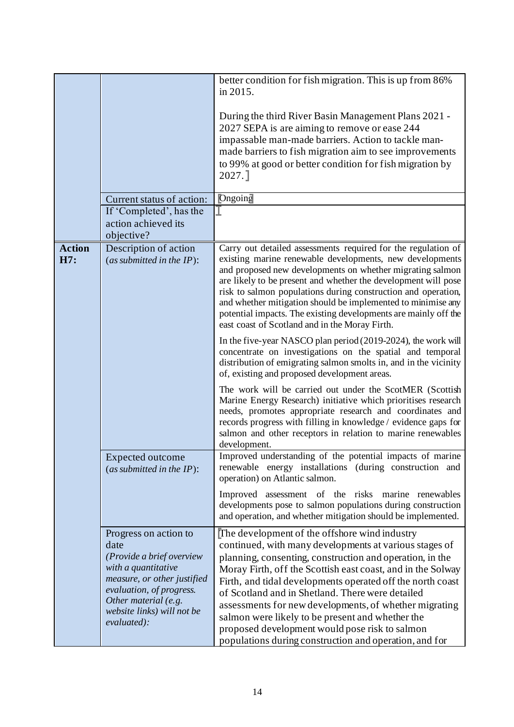|                      | Current status of action:<br>If 'Completed', has the<br>action achieved its<br>objective?                                                                                                                         | better condition for fish migration. This is up from 86%<br>in 2015.<br>During the third River Basin Management Plans 2021 -<br>2027 SEPA is are aiming to remove or ease 244<br>impassable man-made barriers. Action to tackle man-<br>made barriers to fish migration aim to see improvements<br>to 99% at good or better condition for fish migration by<br>2027.<br>Ongoing                                                                                                                                                                                                                                                                                                                                                                                                                                                                                                                                                                                                                                                                                                                            |
|----------------------|-------------------------------------------------------------------------------------------------------------------------------------------------------------------------------------------------------------------|------------------------------------------------------------------------------------------------------------------------------------------------------------------------------------------------------------------------------------------------------------------------------------------------------------------------------------------------------------------------------------------------------------------------------------------------------------------------------------------------------------------------------------------------------------------------------------------------------------------------------------------------------------------------------------------------------------------------------------------------------------------------------------------------------------------------------------------------------------------------------------------------------------------------------------------------------------------------------------------------------------------------------------------------------------------------------------------------------------|
| <b>Action</b><br>H7: | Description of action<br>(as submitted in the $IP$ ):                                                                                                                                                             | Carry out detailed assessments required for the regulation of<br>existing marine renewable developments, new developments<br>and proposed new developments on whether migrating salmon<br>are likely to be present and whether the development will pose<br>risk to salmon populations during construction and operation,<br>and whether mitigation should be implemented to minimise any<br>potential impacts. The existing developments are mainly off the<br>east coast of Scotland and in the Moray Firth.<br>In the five-year NASCO plan period (2019-2024), the work will<br>concentrate on investigations on the spatial and temporal<br>distribution of emigrating salmon smolts in, and in the vicinity<br>of, existing and proposed development areas.<br>The work will be carried out under the ScotMER (Scottish<br>Marine Energy Research) initiative which prioritises research<br>needs, promotes appropriate research and coordinates and<br>records progress with filling in knowledge / evidence gaps for<br>salmon and other receptors in relation to marine renewables<br>development. |
|                      | <b>Expected outcome</b><br>(as submitted in the $IP$ ):                                                                                                                                                           | Improved understanding of the potential impacts of marine<br>renewable energy installations (during construction and<br>operation) on Atlantic salmon.<br>Improved assessment of the risks marine renewables<br>developments pose to salmon populations during construction<br>and operation, and whether mitigation should be implemented.                                                                                                                                                                                                                                                                                                                                                                                                                                                                                                                                                                                                                                                                                                                                                                |
|                      | Progress on action to<br>date<br>(Provide a brief overview<br>with a quantitative<br>measure, or other justified<br>evaluation, of progress.<br>Other material (e.g.<br>website links) will not be<br>evaluated): | The development of the offshore wind industry<br>continued, with many developments at various stages of<br>planning, consenting, construction and operation, in the<br>Moray Firth, off the Scottish east coast, and in the Solway<br>Firth, and tidal developments operated off the north coast<br>of Scotland and in Shetland. There were detailed<br>assessments for new developments, of whether migrating<br>salmon were likely to be present and whether the<br>proposed development would pose risk to salmon<br>populations during construction and operation, and for                                                                                                                                                                                                                                                                                                                                                                                                                                                                                                                             |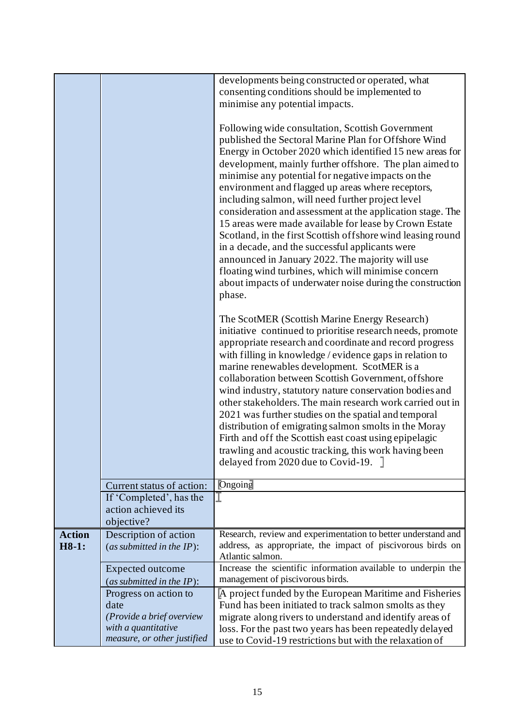|                        |                                                              | developments being constructed or operated, what<br>consenting conditions should be implemented to<br>minimise any potential impacts.<br>Following wide consultation, Scottish Government<br>published the Sectoral Marine Plan for Offshore Wind<br>Energy in October 2020 which identified 15 new areas for<br>development, mainly further offshore. The plan aimed to<br>minimise any potential for negative impacts on the<br>environment and flagged up areas where receptors,<br>including salmon, will need further project level<br>consideration and assessment at the application stage. The<br>15 areas were made available for lease by Crown Estate                                                                           |
|------------------------|--------------------------------------------------------------|--------------------------------------------------------------------------------------------------------------------------------------------------------------------------------------------------------------------------------------------------------------------------------------------------------------------------------------------------------------------------------------------------------------------------------------------------------------------------------------------------------------------------------------------------------------------------------------------------------------------------------------------------------------------------------------------------------------------------------------------|
|                        |                                                              | Scotland, in the first Scottish offshore wind leasing round<br>in a decade, and the successful applicants were<br>announced in January 2022. The majority will use<br>floating wind turbines, which will minimise concern<br>about impacts of underwater noise during the construction<br>phase.                                                                                                                                                                                                                                                                                                                                                                                                                                           |
|                        |                                                              | The ScotMER (Scottish Marine Energy Research)<br>initiative continued to prioritise research needs, promote<br>appropriate research and coordinate and record progress<br>with filling in knowledge / evidence gaps in relation to<br>marine renewables development. ScotMER is a<br>collaboration between Scottish Government, offshore<br>wind industry, statutory nature conservation bodies and<br>other stakeholders. The main research work carried out in<br>2021 was further studies on the spatial and temporal<br>distribution of emigrating salmon smolts in the Moray<br>Firth and off the Scottish east coast using epipelagic<br>trawling and acoustic tracking, this work having been<br>delayed from 2020 due to Covid-19. |
|                        | Current status of action:                                    | Ongoing                                                                                                                                                                                                                                                                                                                                                                                                                                                                                                                                                                                                                                                                                                                                    |
|                        | If 'Completed', has the<br>action achieved its<br>objective? |                                                                                                                                                                                                                                                                                                                                                                                                                                                                                                                                                                                                                                                                                                                                            |
| <b>Action</b><br>H8-1: | Description of action<br>(as submitted in the $IP$ ):        | Research, review and experimentation to better understand and<br>address, as appropriate, the impact of piscivorous birds on<br>Atlantic salmon.                                                                                                                                                                                                                                                                                                                                                                                                                                                                                                                                                                                           |
|                        | <b>Expected outcome</b>                                      | Increase the scientific information available to underpin the                                                                                                                                                                                                                                                                                                                                                                                                                                                                                                                                                                                                                                                                              |
|                        | (as submitted in the $IP$ ):                                 | management of piscivorous birds.                                                                                                                                                                                                                                                                                                                                                                                                                                                                                                                                                                                                                                                                                                           |
|                        | Progress on action to<br>date                                | A project funded by the European Maritime and Fisheries<br>Fund has been initiated to track salmon smolts as they                                                                                                                                                                                                                                                                                                                                                                                                                                                                                                                                                                                                                          |
|                        | (Provide a brief overview<br>with a quantitative             | migrate along rivers to understand and identify areas of<br>loss. For the past two years has been repeatedly delayed                                                                                                                                                                                                                                                                                                                                                                                                                                                                                                                                                                                                                       |
|                        | measure, or other justified                                  | use to Covid-19 restrictions but with the relaxation of                                                                                                                                                                                                                                                                                                                                                                                                                                                                                                                                                                                                                                                                                    |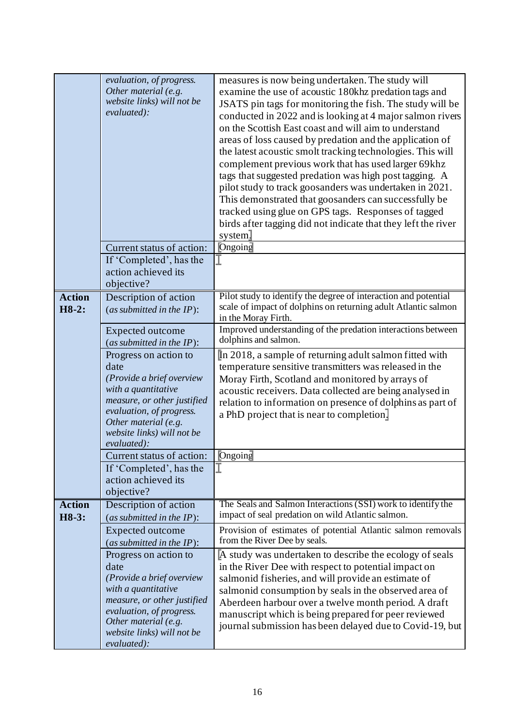|                          | evaluation, of progress.<br>Other material $(e.g.$<br>website links) will not be<br>evaluated):                                                                                                                   | measures is now being undertaken. The study will<br>examine the use of acoustic 180khz predation tags and<br>JSATS pin tags for monitoring the fish. The study will be<br>conducted in 2022 and is looking at 4 major salmon rivers<br>on the Scottish East coast and will aim to understand<br>areas of loss caused by predation and the application of<br>the latest acoustic smolt tracking technologies. This will<br>complement previous work that has used larger 69khz<br>tags that suggested predation was high post tagging. A<br>pilot study to track goosanders was undertaken in 2021.<br>This demonstrated that goosanders can successfully be<br>tracked using glue on GPS tags. Responses of tagged |
|--------------------------|-------------------------------------------------------------------------------------------------------------------------------------------------------------------------------------------------------------------|--------------------------------------------------------------------------------------------------------------------------------------------------------------------------------------------------------------------------------------------------------------------------------------------------------------------------------------------------------------------------------------------------------------------------------------------------------------------------------------------------------------------------------------------------------------------------------------------------------------------------------------------------------------------------------------------------------------------|
|                          | Current status of action:<br>If 'Completed', has the<br>action achieved its<br>objective?                                                                                                                         | birds after tagging did not indicate that they left the river<br>system.<br>Ongoing                                                                                                                                                                                                                                                                                                                                                                                                                                                                                                                                                                                                                                |
| <b>Action</b><br>$H8-2:$ | Description of action<br>(as submitted in the $IP$ ):<br>Expected outcome<br>(as submitted in the $IP$ ):<br>Progress on action to                                                                                | Pilot study to identify the degree of interaction and potential<br>scale of impact of dolphins on returning adult Atlantic salmon<br>in the Moray Firth.<br>Improved understanding of the predation interactions between<br>dolphins and salmon.<br>In 2018, a sample of returning adult salmon fitted with                                                                                                                                                                                                                                                                                                                                                                                                        |
|                          | date<br>(Provide a brief overview<br>with a quantitative<br>measure, or other justified<br>evaluation, of progress.<br>Other material (e.g.<br>website links) will not be<br>evaluated):                          | temperature sensitive transmitters was released in the<br>Moray Firth, Scotland and monitored by arrays of<br>acoustic receivers. Data collected are being analysed in<br>relation to information on presence of dolphins as part of<br>a PhD project that is near to completion.                                                                                                                                                                                                                                                                                                                                                                                                                                  |
|                          | Current status of action:<br>If 'Completed', has the<br>action achieved its<br>objective?                                                                                                                         | Ongoing                                                                                                                                                                                                                                                                                                                                                                                                                                                                                                                                                                                                                                                                                                            |
| <b>Action</b><br>H8-3:   | Description of action<br>(as submitted in the $IP$ ):                                                                                                                                                             | The Seals and Salmon Interactions (SSI) work to identify the<br>impact of seal predation on wild Atlantic salmon.                                                                                                                                                                                                                                                                                                                                                                                                                                                                                                                                                                                                  |
|                          | Expected outcome<br>(as submitted in the $IP$ ):                                                                                                                                                                  | Provision of estimates of potential Atlantic salmon removals<br>from the River Dee by seals.                                                                                                                                                                                                                                                                                                                                                                                                                                                                                                                                                                                                                       |
|                          | Progress on action to<br>date<br>(Provide a brief overview<br>with a quantitative<br>measure, or other justified<br>evaluation, of progress.<br>Other material (e.g.<br>website links) will not be<br>evaluated): | A study was undertaken to describe the ecology of seals<br>in the River Dee with respect to potential impact on<br>salmonid fisheries, and will provide an estimate of<br>salmonid consumption by seals in the observed area of<br>Aberdeen harbour over a twelve month period. A draft<br>manuscript which is being prepared for peer reviewed<br>journal submission has been delayed due to Covid-19, but                                                                                                                                                                                                                                                                                                        |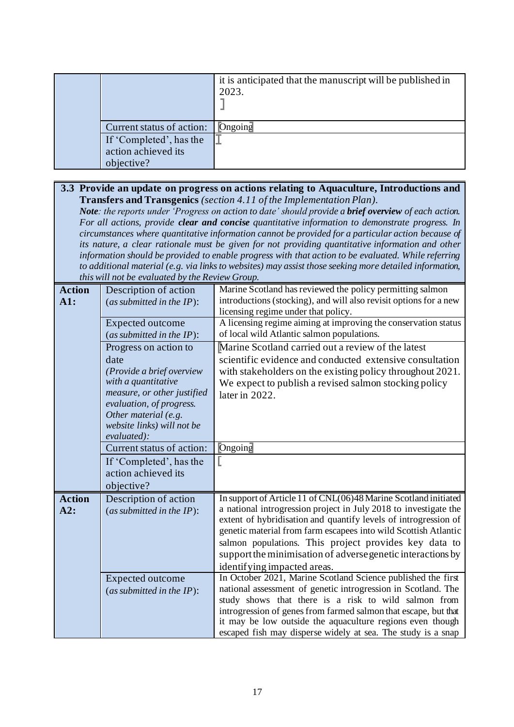|  |                           | it is anticipated that the manuscript will be published in<br>2023. |
|--|---------------------------|---------------------------------------------------------------------|
|  | Current status of action: | $\Box$ Ongoing                                                      |
|  | If 'Completed', has the   |                                                                     |
|  | action achieved its       |                                                                     |
|  | objective?                |                                                                     |

#### **3.3 Provide an update on progress on actions relating to Aquaculture, Introductions and Transfers and Transgenics** *(section 4.11 of the Implementation Plan).*

*Note: the reports under 'Progress on action to date' should provide a brief overview of each action. For all actions, provide clear and concise quantitative information to demonstrate progress. In circumstances where quantitative information cannot be provided for a particular action because of its nature, a clear rationale must be given for not providing quantitative information and other information should be provided to enable progress with that action to be evaluated. While referring to additional material (e.g. via links to websites) may assist those seeking more detailed information, this will not be evaluated by the Review Group.*

| <b>Action</b><br>A1: | Description of action<br>(as submitted in the $IP$ ): | Marine Scotland has reviewed the policy permitting salmon<br>introductions (stocking), and will also revisit options for a new<br>licensing regime under that policy. |
|----------------------|-------------------------------------------------------|-----------------------------------------------------------------------------------------------------------------------------------------------------------------------|
|                      | Expected outcome<br>(as submitted in the $IP$ ):      | A licensing regime aiming at improving the conservation status<br>of local wild Atlantic salmon populations.                                                          |
|                      | Progress on action to                                 | Marine Scotland carried out a review of the latest                                                                                                                    |
|                      | date                                                  | scientific evidence and conducted extensive consultation                                                                                                              |
|                      | (Provide a brief overview                             | with stakeholders on the existing policy throughout 2021.                                                                                                             |
|                      | with a quantitative                                   | We expect to publish a revised salmon stocking policy                                                                                                                 |
|                      | measure, or other justified                           | later in 2022.                                                                                                                                                        |
|                      | evaluation, of progress.                              |                                                                                                                                                                       |
|                      | Other material (e.g.<br>website links) will not be    |                                                                                                                                                                       |
|                      | evaluated):                                           |                                                                                                                                                                       |
|                      | Current status of action:                             | Ongoing                                                                                                                                                               |
|                      | If 'Completed', has the                               |                                                                                                                                                                       |
|                      | action achieved its                                   |                                                                                                                                                                       |
|                      | objective?                                            |                                                                                                                                                                       |
| <b>Action</b>        | Description of action                                 | In support of Article 11 of CNL(06)48 Marine Scotland initiated                                                                                                       |
| A2:                  | (as submitted in the $IP$ ):                          | a national introgression project in July 2018 to investigate the<br>extent of hybridisation and quantify levels of introgression of                                   |
|                      |                                                       | genetic material from farm escapees into wild Scottish Atlantic                                                                                                       |
|                      |                                                       | salmon populations. This project provides key data to                                                                                                                 |
|                      |                                                       | support the minimisation of adverse genetic interactions by                                                                                                           |
|                      |                                                       | identifying impacted areas.                                                                                                                                           |
|                      | <b>Expected outcome</b>                               | In October 2021, Marine Scotland Science published the first                                                                                                          |
|                      | (as submitted in the $IP$ ):                          | national assessment of genetic introgression in Scotland. The                                                                                                         |
|                      |                                                       | study shows that there is a risk to wild salmon from<br>introgression of genes from farmed salmon that escape, but that                                               |
|                      |                                                       | it may be low outside the aquaculture regions even though                                                                                                             |
|                      |                                                       | escaped fish may disperse widely at sea. The study is a snap                                                                                                          |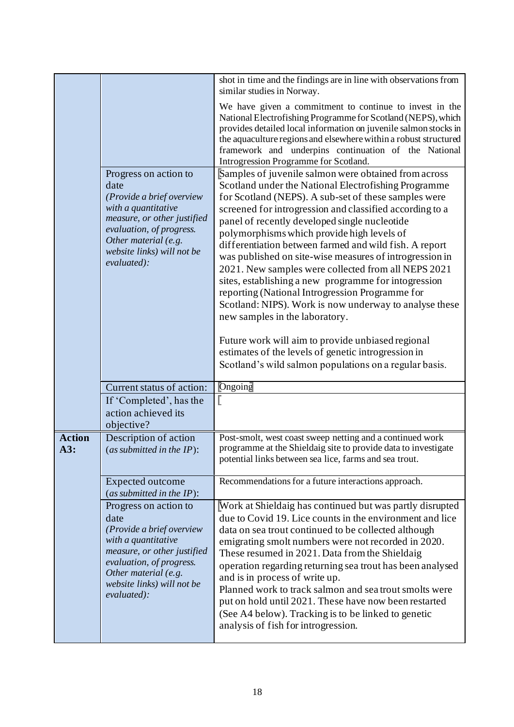|                      |                                                                                                                                                                                                                   | shot in time and the findings are in line with observations from<br>similar studies in Norway.                                                                                                                                                                                                                                                                                                                                                                                                                                                                                                                                                                                                                                                                                                                                 |
|----------------------|-------------------------------------------------------------------------------------------------------------------------------------------------------------------------------------------------------------------|--------------------------------------------------------------------------------------------------------------------------------------------------------------------------------------------------------------------------------------------------------------------------------------------------------------------------------------------------------------------------------------------------------------------------------------------------------------------------------------------------------------------------------------------------------------------------------------------------------------------------------------------------------------------------------------------------------------------------------------------------------------------------------------------------------------------------------|
|                      |                                                                                                                                                                                                                   | We have given a commitment to continue to invest in the<br>National Electrofishing Programme for Scotland (NEPS), which<br>provides detailed local information on juvenile salmon stocks in<br>the aquaculture regions and elsewhere within a robust structured<br>framework and underpins continuation of the National<br>Introgression Programme for Scotland.                                                                                                                                                                                                                                                                                                                                                                                                                                                               |
|                      | Progress on action to<br>date<br>(Provide a brief overview<br>with a quantitative<br>measure, or other justified<br>evaluation, of progress.<br>Other material (e.g.<br>website links) will not be<br>evaluated): | Samples of juvenile salmon were obtained from across<br>Scotland under the National Electrofishing Programme<br>for Scotland (NEPS). A sub-set of these samples were<br>screened for introgression and classified according to a<br>panel of recently developed single nucleotide<br>polymorphisms which provide high levels of<br>differentiation between farmed and wild fish. A report<br>was published on site-wise measures of introgression in<br>2021. New samples were collected from all NEPS 2021<br>sites, establishing a new programme for intogression<br>reporting (National Introgression Programme for<br>Scotland: NIPS). Work is now underway to analyse these<br>new samples in the laboratory.<br>Future work will aim to provide unbiased regional<br>estimates of the levels of genetic introgression in |
|                      |                                                                                                                                                                                                                   | Scotland's wild salmon populations on a regular basis.                                                                                                                                                                                                                                                                                                                                                                                                                                                                                                                                                                                                                                                                                                                                                                         |
|                      | Current status of action:                                                                                                                                                                                         | Ongoing                                                                                                                                                                                                                                                                                                                                                                                                                                                                                                                                                                                                                                                                                                                                                                                                                        |
|                      | If 'Completed', has the<br>action achieved its<br>objective?                                                                                                                                                      |                                                                                                                                                                                                                                                                                                                                                                                                                                                                                                                                                                                                                                                                                                                                                                                                                                |
| <b>Action</b><br>A3: | Description of action<br>(as submitted in the $IP$ ):                                                                                                                                                             | Post-smolt, west coast sweep netting and a continued work<br>programme at the Shieldaig site to provide data to investigate<br>potential links between sea lice, farms and sea trout.                                                                                                                                                                                                                                                                                                                                                                                                                                                                                                                                                                                                                                          |
|                      | Expected outcome<br>(as submitted in the $IP$ ):                                                                                                                                                                  | Recommendations for a future interactions approach.                                                                                                                                                                                                                                                                                                                                                                                                                                                                                                                                                                                                                                                                                                                                                                            |
|                      | Progress on action to<br>date<br>(Provide a brief overview<br>with a quantitative<br>measure, or other justified<br>evaluation, of progress.<br>Other material (e.g.<br>website links) will not be<br>evaluated): | Work at Shieldaig has continued but was partly disrupted<br>due to Covid 19. Lice counts in the environment and lice<br>data on sea trout continued to be collected although<br>emigrating smolt numbers were not recorded in 2020.<br>These resumed in 2021. Data from the Shieldaig<br>operation regarding returning sea trout has been analysed<br>and is in process of write up.<br>Planned work to track salmon and sea trout smolts were<br>put on hold until 2021. These have now been restarted<br>(See A4 below). Tracking is to be linked to genetic<br>analysis of fish for introgression.                                                                                                                                                                                                                          |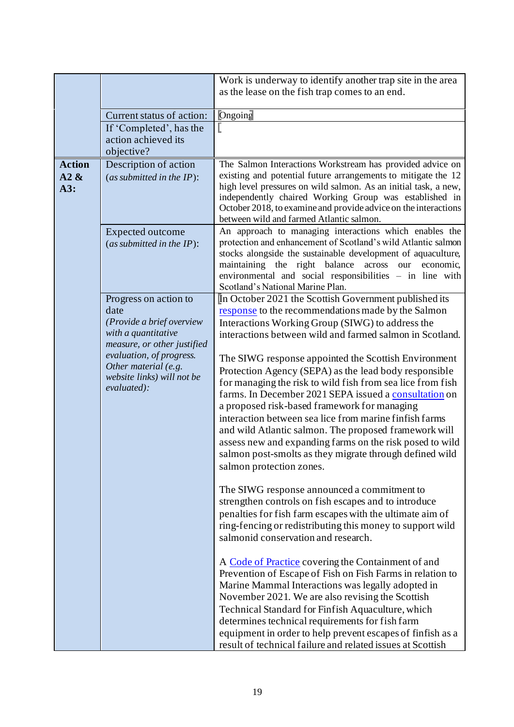|                                                                                                                                                                                                                   | Work is underway to identify another trap site in the area                                                                                                                                                                                                                                                                                                                                                                                                                                                                                                                                                                                                                                                                                                                                                                                                                                                                                                                                                                                                                                                                                                                                                                                                                                                                                                                                                                                                         |
|-------------------------------------------------------------------------------------------------------------------------------------------------------------------------------------------------------------------|--------------------------------------------------------------------------------------------------------------------------------------------------------------------------------------------------------------------------------------------------------------------------------------------------------------------------------------------------------------------------------------------------------------------------------------------------------------------------------------------------------------------------------------------------------------------------------------------------------------------------------------------------------------------------------------------------------------------------------------------------------------------------------------------------------------------------------------------------------------------------------------------------------------------------------------------------------------------------------------------------------------------------------------------------------------------------------------------------------------------------------------------------------------------------------------------------------------------------------------------------------------------------------------------------------------------------------------------------------------------------------------------------------------------------------------------------------------------|
|                                                                                                                                                                                                                   | as the lease on the fish trap comes to an end.                                                                                                                                                                                                                                                                                                                                                                                                                                                                                                                                                                                                                                                                                                                                                                                                                                                                                                                                                                                                                                                                                                                                                                                                                                                                                                                                                                                                                     |
|                                                                                                                                                                                                                   |                                                                                                                                                                                                                                                                                                                                                                                                                                                                                                                                                                                                                                                                                                                                                                                                                                                                                                                                                                                                                                                                                                                                                                                                                                                                                                                                                                                                                                                                    |
| Current status of action:                                                                                                                                                                                         | Ongoing                                                                                                                                                                                                                                                                                                                                                                                                                                                                                                                                                                                                                                                                                                                                                                                                                                                                                                                                                                                                                                                                                                                                                                                                                                                                                                                                                                                                                                                            |
| If 'Completed', has the                                                                                                                                                                                           |                                                                                                                                                                                                                                                                                                                                                                                                                                                                                                                                                                                                                                                                                                                                                                                                                                                                                                                                                                                                                                                                                                                                                                                                                                                                                                                                                                                                                                                                    |
|                                                                                                                                                                                                                   |                                                                                                                                                                                                                                                                                                                                                                                                                                                                                                                                                                                                                                                                                                                                                                                                                                                                                                                                                                                                                                                                                                                                                                                                                                                                                                                                                                                                                                                                    |
|                                                                                                                                                                                                                   |                                                                                                                                                                                                                                                                                                                                                                                                                                                                                                                                                                                                                                                                                                                                                                                                                                                                                                                                                                                                                                                                                                                                                                                                                                                                                                                                                                                                                                                                    |
| (as submitted in the $IP$ ):                                                                                                                                                                                      | The Salmon Interactions Workstream has provided advice on<br>existing and potential future arrangements to mitigate the 12<br>high level pressures on wild salmon. As an initial task, a new,<br>independently chaired Working Group was established in<br>October 2018, to examine and provide advice on the interactions<br>between wild and farmed Atlantic salmon.                                                                                                                                                                                                                                                                                                                                                                                                                                                                                                                                                                                                                                                                                                                                                                                                                                                                                                                                                                                                                                                                                             |
| (as submitted in the $IP$ ):                                                                                                                                                                                      | An approach to managing interactions which enables the<br>protection and enhancement of Scotland's wild Atlantic salmon<br>stocks alongside the sustainable development of aquaculture,<br>maintaining the right balance<br>across<br>our<br>economic,<br>environmental and social responsibilities - in line with<br>Scotland's National Marine Plan.                                                                                                                                                                                                                                                                                                                                                                                                                                                                                                                                                                                                                                                                                                                                                                                                                                                                                                                                                                                                                                                                                                             |
| Progress on action to<br>date<br>(Provide a brief overview<br>with a quantitative<br>measure, or other justified<br>evaluation, of progress.<br>Other material (e.g.<br>website links) will not be<br>evaluated): | In October 2021 the Scottish Government published its<br>response to the recommendations made by the Salmon<br>Interactions Working Group (SIWG) to address the<br>interactions between wild and farmed salmon in Scotland.<br>The SIWG response appointed the Scottish Environment<br>Protection Agency (SEPA) as the lead body responsible<br>for managing the risk to wild fish from sea lice from fish<br>farms. In December 2021 SEPA issued a consultation on<br>a proposed risk-based framework for managing<br>interaction between sea lice from marine finfish farms<br>and wild Atlantic salmon. The proposed framework will<br>assess new and expanding farms on the risk posed to wild<br>salmon post-smolts as they migrate through defined wild<br>salmon protection zones.<br>The SIWG response announced a commitment to<br>strengthen controls on fish escapes and to introduce<br>penalties for fish farm escapes with the ultimate aim of<br>ring-fencing or redistributing this money to support wild<br>salmonid conservation and research.<br>A Code of Practice covering the Containment of and<br>Prevention of Escape of Fish on Fish Farms in relation to<br>Marine Mammal Interactions was legally adopted in<br>November 2021. We are also revising the Scottish<br>Technical Standard for Finfish Aquaculture, which<br>determines technical requirements for fish farm<br>equipment in order to help prevent escapes of finfish as a |
|                                                                                                                                                                                                                   | action achieved its<br>objective?<br>Description of action<br><b>Expected outcome</b>                                                                                                                                                                                                                                                                                                                                                                                                                                                                                                                                                                                                                                                                                                                                                                                                                                                                                                                                                                                                                                                                                                                                                                                                                                                                                                                                                                              |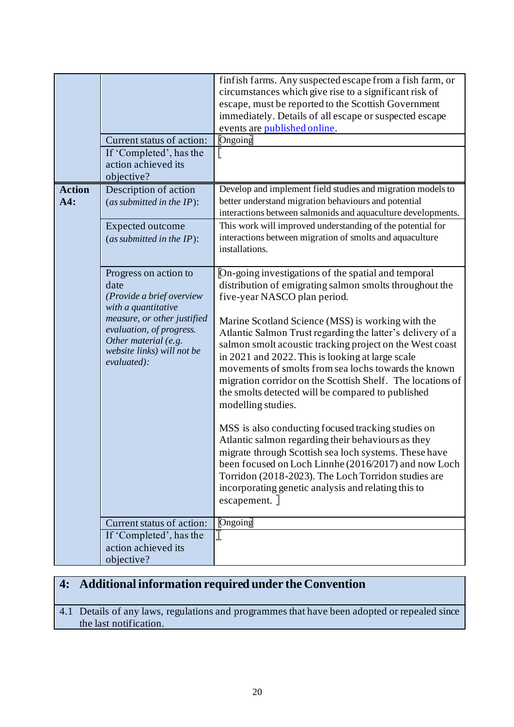|                      | Current status of action:<br>If 'Completed', has the<br>action achieved its<br>objective?                                                                                                                         | finfish farms. Any suspected escape from a fish farm, or<br>circumstances which give rise to a significant risk of<br>escape, must be reported to the Scottish Government<br>immediately. Details of all escape or suspected escape<br>events are published online.<br><b>Ongoing</b>                                                                                                                                                                                                                                                                                                                                                                                                                                                                                                                                                                                                                                                          |
|----------------------|-------------------------------------------------------------------------------------------------------------------------------------------------------------------------------------------------------------------|------------------------------------------------------------------------------------------------------------------------------------------------------------------------------------------------------------------------------------------------------------------------------------------------------------------------------------------------------------------------------------------------------------------------------------------------------------------------------------------------------------------------------------------------------------------------------------------------------------------------------------------------------------------------------------------------------------------------------------------------------------------------------------------------------------------------------------------------------------------------------------------------------------------------------------------------|
| <b>Action</b><br>A4: | Description of action<br>(as submitted in the $IP$ ):<br><b>Expected outcome</b><br>(as submitted in the $IP$ ):                                                                                                  | Develop and implement field studies and migration models to<br>better understand migration behaviours and potential<br>interactions between salmonids and aquaculture developments.<br>This work will improved understanding of the potential for<br>interactions between migration of smolts and aquaculture<br>installations.                                                                                                                                                                                                                                                                                                                                                                                                                                                                                                                                                                                                                |
|                      | Progress on action to<br>date<br>(Provide a brief overview<br>with a quantitative<br>measure, or other justified<br>evaluation, of progress.<br>Other material (e.g.<br>website links) will not be<br>evaluated): | On-going investigations of the spatial and temporal<br>distribution of emigrating salmon smolts throughout the<br>five-year NASCO plan period.<br>Marine Scotland Science (MSS) is working with the<br>Atlantic Salmon Trust regarding the latter's delivery of a<br>salmon smolt acoustic tracking project on the West coast<br>in 2021 and 2022. This is looking at large scale<br>movements of smolts from sea lochs towards the known<br>migration corridor on the Scottish Shelf. The locations of<br>the smolts detected will be compared to published<br>modelling studies.<br>MSS is also conducting focused tracking studies on<br>Atlantic salmon regarding their behaviours as they<br>migrate through Scottish sea loch systems. These have<br>been focused on Loch Linnhe (2016/2017) and now Loch<br>Torridon (2018-2023). The Loch Torridon studies are<br>incorporating genetic analysis and relating this to<br>escapement. ] |
|                      | Current status of action:<br>If 'Completed', has the                                                                                                                                                              | Ongoing                                                                                                                                                                                                                                                                                                                                                                                                                                                                                                                                                                                                                                                                                                                                                                                                                                                                                                                                        |
|                      | action achieved its<br>objective?                                                                                                                                                                                 |                                                                                                                                                                                                                                                                                                                                                                                                                                                                                                                                                                                                                                                                                                                                                                                                                                                                                                                                                |

# **4: Additional information required under the Convention**

4.1 Details of any laws, regulations and programmes that have been adopted or repealed since the last notification.